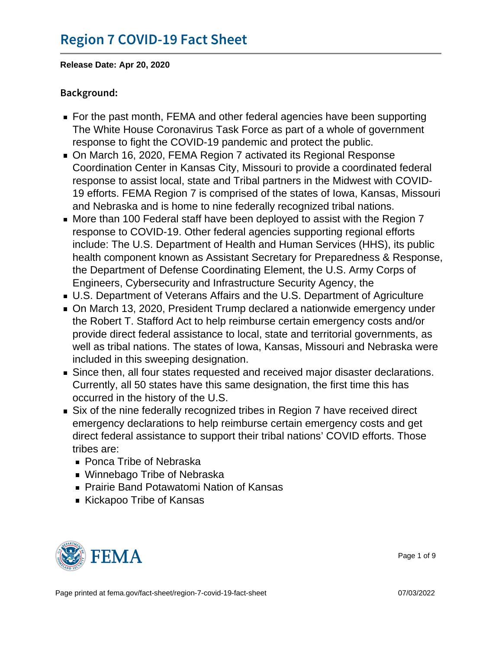# [Region 7 COVID-1](https://www.fema.gov/fact-sheet/region-7-covid-19-fact-sheet)9 Fact Sheet

Release Date: Apr 20, 2020

Background:

- For the past month, FEMA and other federal agencies have been supporting The White House Coronavirus Task Force as part of a whole of government response to fight the COVID-19 pandemic and protect the public.
- On March 16, 2020, FEMA Region 7 activated its Regional Response Coordination Center in Kansas City, Missouri to provide a coordinated federal response to assist local, state and Tribal partners in the Midwest with COVID-19 efforts. FEMA Region 7 is comprised of the states of Iowa, Kansas, Missouri and Nebraska and is home to nine federally recognized tribal nations.
- More than 100 Federal staff have been deployed to assist with the Region 7 response to COVID-19. Other federal agencies supporting regional efforts include: The U.S. Department of Health and Human Services (HHS), its public health component known as Assistant Secretary for Preparedness & Response, the Department of Defense Coordinating Element, the U.S. Army Corps of Engineers, Cybersecurity and Infrastructure Security Agency, the
- U.S. Department of Veterans Affairs and the U.S. Department of Agriculture
- On March 13, 2020, President Trump declared a nationwide emergency under the Robert T. Stafford Act to help reimburse certain emergency costs and/or provide direct federal assistance to local, state and territorial governments, as well as tribal nations. The states of Iowa, Kansas, Missouri and Nebraska were included in this sweeping designation.
- Since then, all four states requested and received major disaster declarations. Currently, all 50 states have this same designation, the first time this has occurred in the history of the U.S.
- Six of the nine federally recognized tribes in Region 7 have received direct emergency declarations to help reimburse certain emergency costs and get direct federal assistance to support their tribal nations' COVID efforts. Those tribes are:
	- Ponca Tribe of Nebraska
	- Winnebago Tribe of Nebraska
	- **Prairie Band Potawatomi Nation of Kansas**
	- Kickapoo Tribe of Kansas

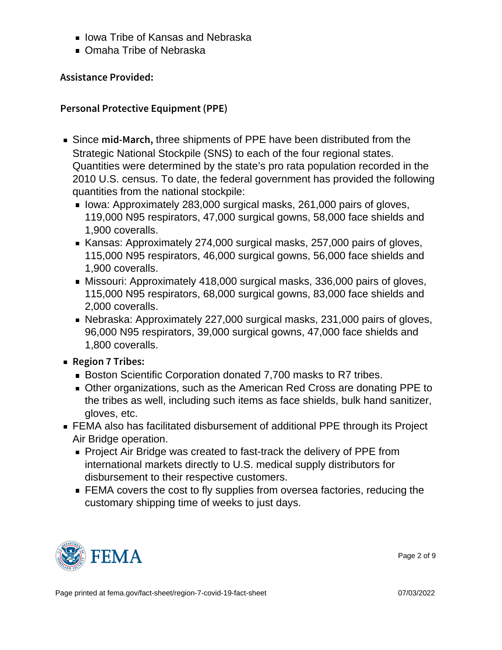- **Iowa Tribe of Kansas and Nebraska**
- **Demaha Tribe of Nebraska**

Assistance Provided:

Personal Protective Equipment (PPE)

- Since  $m/d$  M a thode, shipments of PPE have been distributed from the Strategic National Stockpile (SNS) to each of the four regional states. Quantities were determined by the state's pro rata population recorded in the 2010 U.S. census. To date, the federal government has provided the following quantities from the national stockpile:
	- Iowa: Approximately 283,000 surgical masks, 261,000 pairs of gloves, 119,000 N95 respirators, 47,000 surgical gowns, 58,000 face shields and 1,900 coveralls.
	- Kansas: Approximately 274,000 surgical masks, 257,000 pairs of gloves, 115,000 N95 respirators, 46,000 surgical gowns, 56,000 face shields and 1,900 coveralls.
	- Missouri: Approximately 418,000 surgical masks, 336,000 pairs of gloves, 115,000 N95 respirators, 68,000 surgical gowns, 83,000 face shields and 2,000 coveralls.
	- Nebraska: Approximately 227,000 surgical masks, 231,000 pairs of gloves, 96,000 N95 respirators, 39,000 surgical gowns, 47,000 face shields and 1,800 coveralls.
- **Region 7 Tribes:** 
	- Boston Scientific Corporation donated 7,700 masks to R7 tribes.
	- Other organizations, such as the American Red Cross are donating PPE to the tribes as well, including such items as face shields, bulk hand sanitizer, gloves, etc.
- FEMA also has facilitated disbursement of additional PPE through its Project Air Bridge operation.
	- **Project Air Bridge was created to fast-track the delivery of PPE from** international markets directly to U.S. medical supply distributors for disbursement to their respective customers.
	- **FEMA covers the cost to fly supplies from oversea factories, reducing the** customary shipping time of weeks to just days.



Page 2 of 9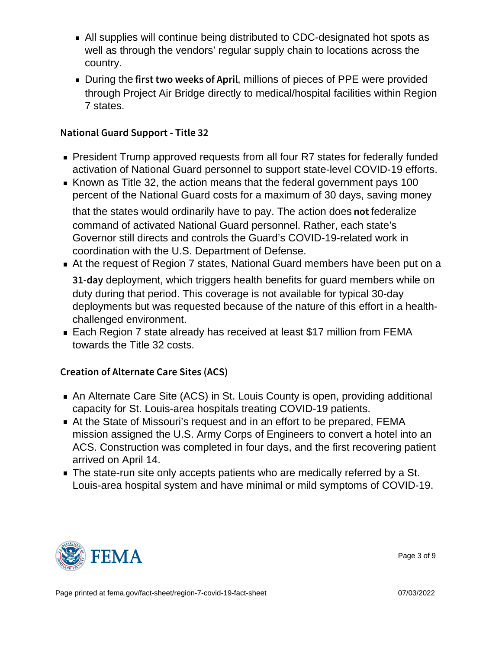- All supplies will continue being distributed to CDC-designated hot spots as well as through the vendors' regular supply chain to locations across the country.
- During the first two week raillion in a Supersides of PPE were provided through Project Air Bridge directly to medical/hospital facilities within Region 7 states.

National Guard Support - Title 32

- President Trump approved requests from all four R7 states for federally funded activation of National Guard personnel to support state-level COVID-19 efforts.
- Known as Title 32, the action means that the federal government pays 100 percent of the National Guard costs for a maximum of 30 days, saving money

that the states would ordinarily have to pay. The action does n of ederalize command of activated National Guard personnel. Rather, each state's Governor still directs and controls the Guard's COVID-19-related work in coordination with the U.S. Department of Defense.

At the request of Region 7 states, National Guard members have been put on a

31 - deeployment, which triggers health benefits for guard members while on duty during that period. This coverage is not available for typical 30-day deployments but was requested because of the nature of this effort in a healthchallenged environment.

■ Each Region 7 state already has received at least \$17 million from FEMA towards the Title 32 costs.

### Creation of Alternate Care Sites (ACS)

- An Alternate Care Site (ACS) in St. Louis County is open, providing additional capacity for St. Louis-area hospitals treating COVID-19 patients.
- At the State of Missouri's request and in an effort to be prepared, FEMA mission assigned the U.S. Army Corps of Engineers to convert a hotel into an ACS. Construction was completed in four days, and the first recovering patient arrived on April 14.
- The state-run site only accepts patients who are medically referred by a St. Louis-area hospital system and have minimal or mild symptoms of COVID-19.



Page 3 of 9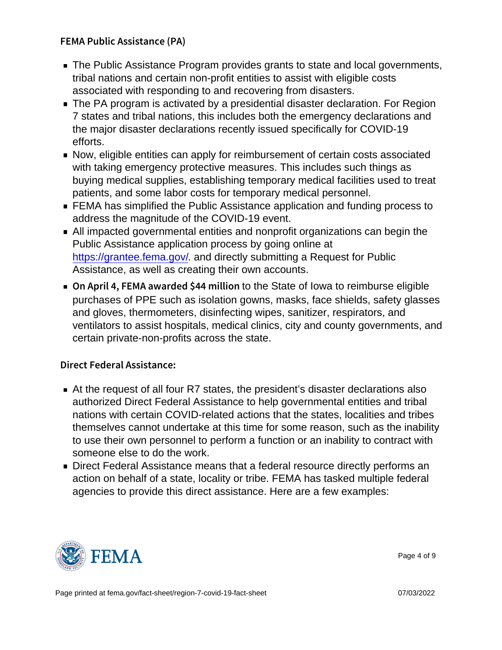### FEMA Public Assistance (PA)

- The Public Assistance Program provides grants to state and local governments, tribal nations and certain non-profit entities to assist with eligible costs associated with responding to and recovering from disasters.
- The PA program is activated by a presidential disaster declaration. For Region 7 states and tribal nations, this includes both the emergency declarations and the major disaster declarations recently issued specifically for COVID-19 efforts.
- Now, eligible entities can apply for reimbursement of certain costs associated with taking emergency protective measures. This includes such things as buying medical supplies, establishing temporary medical facilities used to treat patients, and some labor costs for temporary medical personnel.
- **FEMA has simplified the Public Assistance application and funding process to** address the magnitude of the COVID-19 event.
- All impacted governmental entities and nonprofit organizations can begin the Public Assistance application process by going online at [https://grantee.fema.gov/.](https://grantee.fema.gov/) and directly submitting a Request for Public Assistance, as well as creating their own accounts.
- $\blacksquare$  On April 4, FEMA awartoothet St $\ddot{\boldsymbol{\theta}}$ ate 4 of thos into the imburse eligible purchases of PPE such as isolation gowns, masks, face shields, safety glasses and gloves, thermometers, disinfecting wipes, sanitizer, respirators, and ventilators to assist hospitals, medical clinics, city and county governments, and certain private-non-profits across the state.

### Direct Federal Assistance:

- At the request of all four R7 states, the president's disaster declarations also authorized Direct Federal Assistance to help governmental entities and tribal nations with certain COVID-related actions that the states, localities and tribes themselves cannot undertake at this time for some reason, such as the inability to use their own personnel to perform a function or an inability to contract with someone else to do the work.
- Direct Federal Assistance means that a federal resource directly performs an action on behalf of a state, locality or tribe. FEMA has tasked multiple federal agencies to provide this direct assistance. Here are a few examples:



Page 4 of 9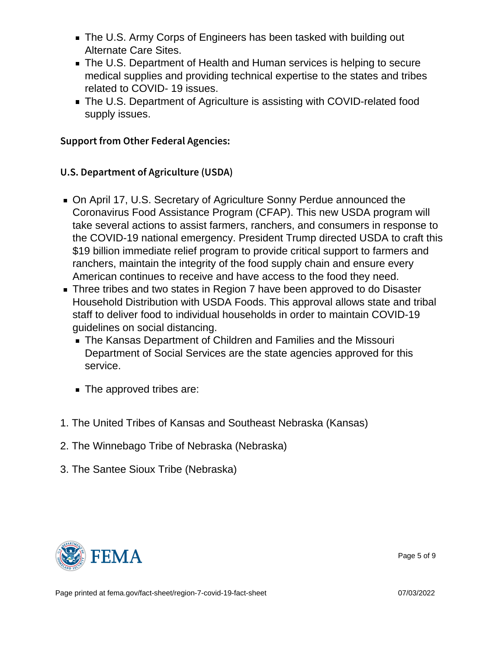- The U.S. Army Corps of Engineers has been tasked with building out Alternate Care Sites.
- The U.S. Department of Health and Human services is helping to secure medical supplies and providing technical expertise to the states and tribes related to COVID- 19 issues.
- The U.S. Department of Agriculture is assisting with COVID-related food supply issues.

Support from Other Federal Agencies:

U.S. Department of Agriculture (USDA)

- On April 17, U.S. Secretary of Agriculture Sonny Perdue announced the Coronavirus Food Assistance Program (CFAP). This new USDA program will take several actions to assist farmers, ranchers, and consumers in response to the COVID-19 national emergency. President Trump directed USDA to craft this \$19 billion immediate relief program to provide critical support to farmers and ranchers, maintain the integrity of the food supply chain and ensure every American continues to receive and have access to the food they need.
- Three tribes and two states in Region 7 have been approved to do Disaster Household Distribution with USDA Foods. This approval allows state and tribal staff to deliver food to individual households in order to maintain COVID-19 guidelines on social distancing.
	- The Kansas Department of Children and Families and the Missouri Department of Social Services are the state agencies approved for this service.
	- The approved tribes are:
- 1. The United Tribes of Kansas and Southeast Nebraska (Kansas)
- 2. The Winnebago Tribe of Nebraska (Nebraska)
- 3. The Santee Sioux Tribe (Nebraska)

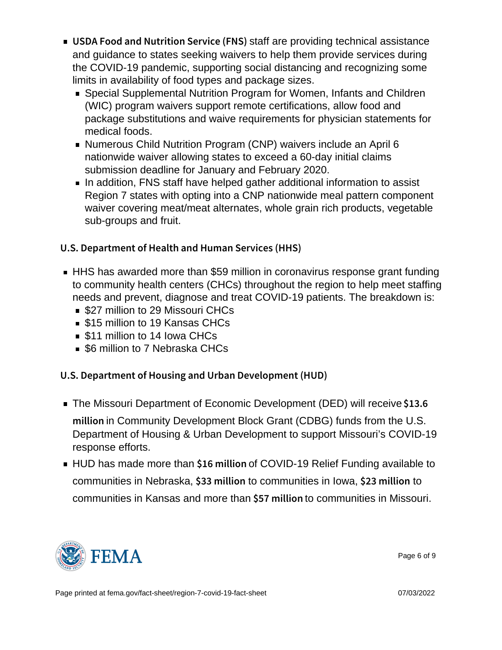- USDA Food and NutritiosntafSexeerprocieting FebAhSicial assistance and guidance to states seeking waivers to help them provide services during the COVID-19 pandemic, supporting social distancing and recognizing some limits in availability of food types and package sizes.
	- Special Supplemental Nutrition Program for Women, Infants and Children (WIC) program waivers support remote certifications, allow food and package substitutions and waive requirements for physician statements for medical foods.
	- Numerous Child Nutrition Program (CNP) waivers include an April 6 nationwide waiver allowing states to exceed a 60-day initial claims submission deadline for January and February 2020.
	- In addition, FNS staff have helped gather additional information to assist Region 7 states with opting into a CNP nationwide meal pattern component waiver covering meat/meat alternates, whole grain rich products, vegetable sub-groups and fruit.

## U.S. Department of Health and Human Services (HHS)

- HHS has awarded more than \$59 million in coronavirus response grant funding to community health centers (CHCs) throughout the region to help meet staffing needs and prevent, diagnose and treat COVID-19 patients. The breakdown is:
	- **S27 million to 29 Missouri CHCs**
	- **S15 million to 19 Kansas CHCs**
	- **S11 million to 14 Iowa CHCs**
	- **56 million to 7 Nebraska CHCs**

### U.S. Department of Housing and Urban Development (HUD)

The Missouri Department of Economic Development (DED) will receive \$13.6

m illion Community Development Block Grant (CDBG) funds from the U.S. Department of Housing & Urban Development to support Missouri's COVID-19 response efforts.

HUD has made more than  $$16 \text{ m}$  i bricon ID-19 Relief Funding available to communities in Nebraska,  $$33$  m i to icommunities in Iowa,  $$23$  m i to i o n communities in Kansas and more than  $$57$  m i to communities in Missouri.



Page 6 of 9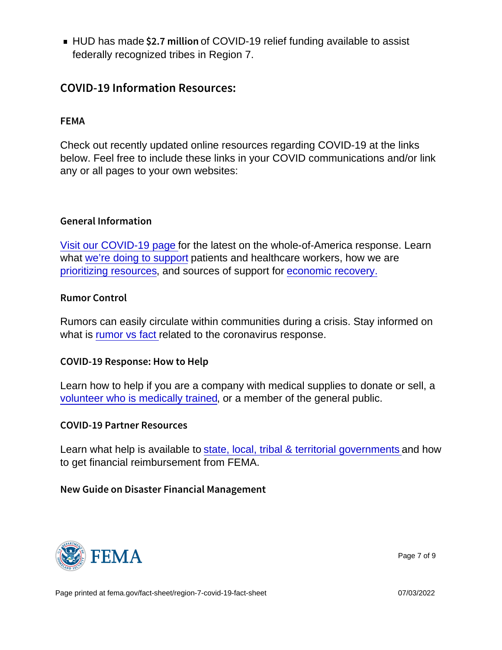**HUD** has made  $$2.7$  m of CQVID-19 relief funding available to assist federally recognized tribes in Region 7.

### COVID-19 Information Resources:

### FEMA

Check out recently updated online resources regarding COVID-19 at the links below. Feel free to include these links in your COVID communications and/or link any or all pages to your own websites:

#### General Information

[Visit our COVID-19 page](https://www.fema.gov/coronavirus/) for the latest on the whole-of-America response. Learn what [we're doing to support](https://www.fema.gov/coronavirus/patients-healthcare) patients and healthcare workers, how we are [prioritizing resources](https://www.fema.gov/coronavirus/data-resources), and sources of support for [economic recovery.](https://www.fema.gov/coronavirus/economic)

Rumor Control

Rumors can easily circulate within communities during a crisis. Stay informed on what is [rumor vs fact r](https://www.fema.gov/coronavirus/rumor-control)elated to the coronavirus response.

COVID-19 Response: How to Help

Learn how to help if you are a company with medical supplies to donate or sell, a [volunteer who is medically trained,](https://www.phe.gov/esarvhp/pages/registration.aspx) or a member of the general public.

COVID-19 Partner Resources

Learn what help is available to [state, local, tribal & territorial governments](https://www.fema.gov/coronavirus/governments) and how to get financial reimbursement from FEMA.

New Guide on Disaster Financial Management



Page 7 of 9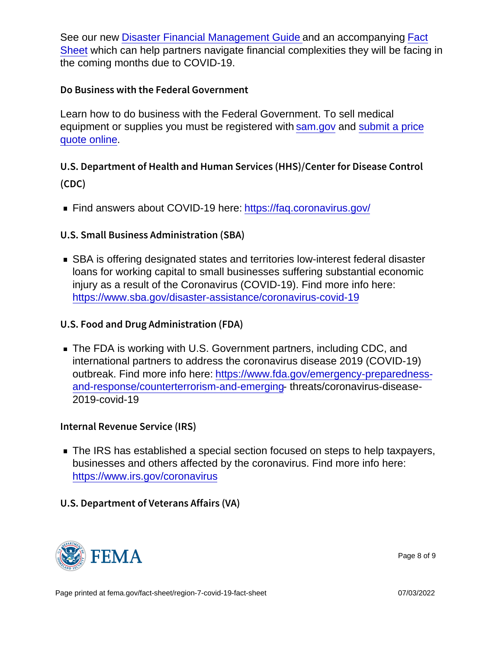See our new [Disaster Financial Management Guide a](https://www.fema.gov/plan)nd an accompanying [Fact](https://www.fema.gov/media-library-data/1586815358427-cc78a4a55abb9437c487ba72b1a57e02/COVID-19-and-Disaster-Financial-Management-Guide.pdf) [Sheet](https://www.fema.gov/media-library-data/1586815358427-cc78a4a55abb9437c487ba72b1a57e02/COVID-19-and-Disaster-Financial-Management-Guide.pdf) which can help partners navigate financial complexities they will be facing in the coming months due to COVID-19.

Do Business with the Federal Government

Learn how to do business with the Federal Government. To sell medical equipment or supplies you must be registered with [sam.gov](https://sam.gov/content/home) and [submit a price](https://sam.gov/opp/3e05e664e606486ca34d1a41b47ff0ff/view) [quote online.](https://sam.gov/opp/3e05e664e606486ca34d1a41b47ff0ff/view)

U.S. Department of Health and Human Services (HHS)/Cent  $(CDC)$ 

Find answers about COVID-19 here:<https://faq.coronavirus.gov/>

U.S. Small Business Administration (SBA)

SBA is offering designated states and territories low-interest federal disaster loans for working capital to small businesses suffering substantial economic injury as a result of the Coronavirus (COVID-19). Find more info here: <https://www.sba.gov/disaster-assistance/coronavirus-covid-19>

U.S. Food and Drug Administration (FDA)

■ The FDA is working with U.S. Government partners, including CDC, and international partners to address the coronavirus disease 2019 (COVID-19) outbreak. Find more info here: [https://www.fda.gov/emergency-preparedness](https://www.fda.gov/emergency-preparedness-and-response/counterterrorism-and-emerging)[and-response/counterterrorism-and-emerging-](https://www.fda.gov/emergency-preparedness-and-response/counterterrorism-and-emerging) threats/coronavirus-disease-2019-covid-19

Internal Revenue Service (IRS)

■ The IRS has established a special section focused on steps to help taxpayers, businesses and others affected by the coronavirus. Find more info here: <https://www.irs.gov/coronavirus>

```
U.S. Department of Veterans Affairs (VA)
```


Page 8 of 9